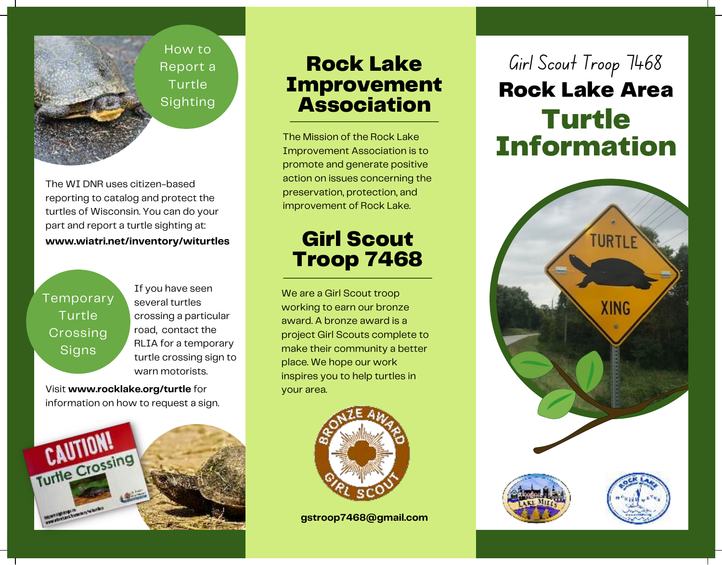How to Report a Turtle **Sighting** 

The WI DNR uses citizen-based reporting to catalog and protect the turtles of Wisconsin. You can do your part and report a turtle sighting at: **www.wiatri.net/inventory/witurtles**

Temporary Turtle Crossing **Signs** 

If you have seen several turtles crossing a particular road, contact the RLIA for a temporary turtle crossing sign to warn motorists.

Visit **www.rocklake.org/turtle** for information on how to request a sign.



## Rock Lake Improvement **Association**

The Mission of the Rock Lake Improvement Association is to promote and generate positive action on issues concerning the preservation, protection, and improvement of Rock Lake.

## Girl Scout Troop 7468

We are a Girl Scout troop working to earn our bronze award. A bronze award is a project Girl Scouts complete to make their community a better place. We hope our work inspires you to help turtles in your area.



**gstroop7468@gmail.com**

# Rock Lake Area Turtle Information Girl Scout Troop 7468